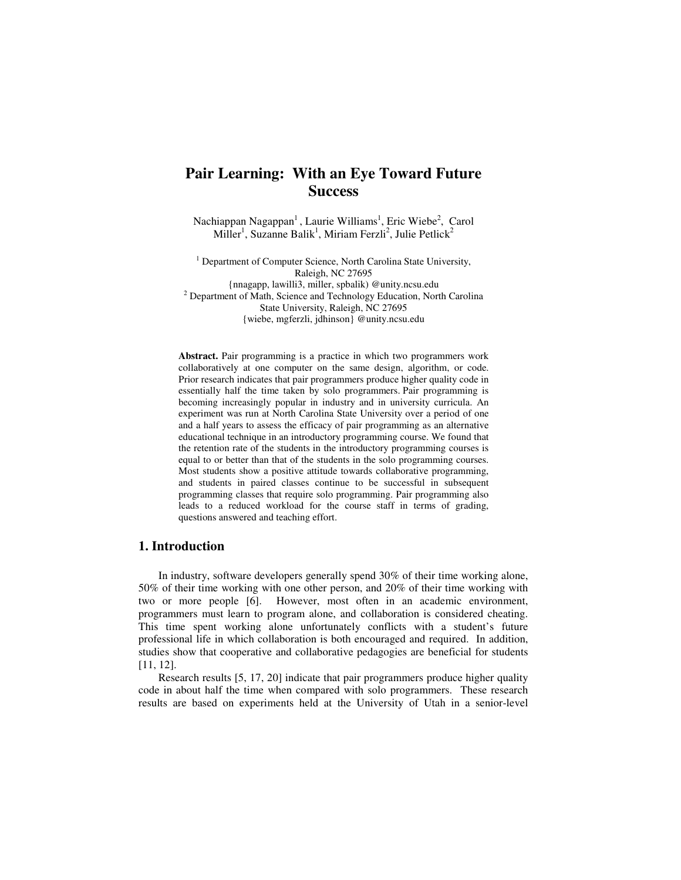# **Pair Learning: With an Eye Toward Future Success**

Nachiappan Nagappan<sup>1</sup>, Laurie Williams<sup>1</sup>, Eric Wiebe<sup>2</sup>, Carol Miller<sup>1</sup>, Suzanne Balik<sup>1</sup>, Miriam Ferzli<sup>2</sup>, Julie Petlick<sup>2</sup>

<sup>1</sup> Department of Computer Science, North Carolina State University, Raleigh, NC 27695 {nnagapp, lawilli3, miller, spbalik) @unity.ncsu.edu <sup>2</sup> Department of Math, Science and Technology Education, North Carolina State University, Raleigh, NC 27695 {wiebe, mgferzli, jdhinson} @unity.ncsu.edu

**Abstract.** Pair programming is a practice in which two programmers work collaboratively at one computer on the same design, algorithm, or code. Prior research indicates that pair programmers produce higher quality code in essentially half the time taken by solo programmers. Pair programming is becoming increasingly popular in industry and in university curricula. An experiment was run at North Carolina State University over a period of one and a half years to assess the efficacy of pair programming as an alternative educational technique in an introductory programming course. We found that the retention rate of the students in the introductory programming courses is equal to or better than that of the students in the solo programming courses. Most students show a positive attitude towards collaborative programming, and students in paired classes continue to be successful in subsequent programming classes that require solo programming. Pair programming also leads to a reduced workload for the course staff in terms of grading, questions answered and teaching effort.

# **1. Introduction**

In industry, software developers generally spend 30% of their time working alone, 50% of their time working with one other person, and 20% of their time working with two or more people [6]. However, most often in an academic environment, programmers must learn to program alone, and collaboration is considered cheating. This time spent working alone unfortunately conflicts with a student's future professional life in which collaboration is both encouraged and required. In addition, studies show that cooperative and collaborative pedagogies are beneficial for students [11, 12].

Research results [5, 17, 20] indicate that pair programmers produce higher quality code in about half the time when compared with solo programmers. These research results are based on experiments held at the University of Utah in a senior-level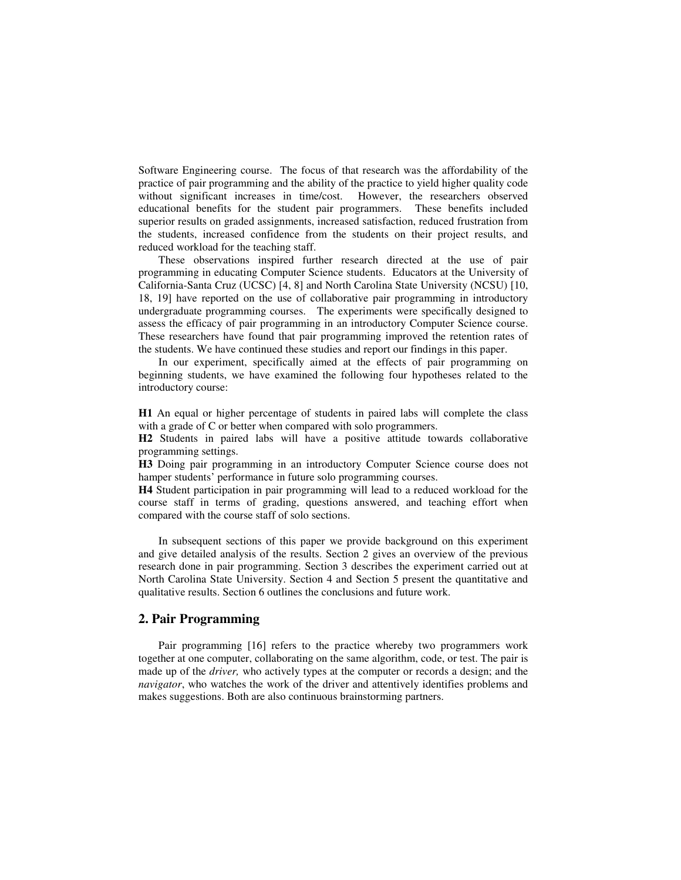Software Engineering course. The focus of that research was the affordability of the practice of pair programming and the ability of the practice to yield higher quality code without significant increases in time/cost. However, the researchers observed educational benefits for the student pair programmers. These benefits included superior results on graded assignments, increased satisfaction, reduced frustration from the students, increased confidence from the students on their project results, and reduced workload for the teaching staff.

These observations inspired further research directed at the use of pair programming in educating Computer Science students. Educators at the University of California-Santa Cruz (UCSC) [4, 8] and North Carolina State University (NCSU) [10, 18, 19] have reported on the use of collaborative pair programming in introductory undergraduate programming courses. The experiments were specifically designed to assess the efficacy of pair programming in an introductory Computer Science course. These researchers have found that pair programming improved the retention rates of the students. We have continued these studies and report our findings in this paper.

In our experiment, specifically aimed at the effects of pair programming on beginning students, we have examined the following four hypotheses related to the introductory course:

**H1** An equal or higher percentage of students in paired labs will complete the class with a grade of C or better when compared with solo programmers.

**H2** Students in paired labs will have a positive attitude towards collaborative programming settings.

**H3** Doing pair programming in an introductory Computer Science course does not hamper students' performance in future solo programming courses.

**H4** Student participation in pair programming will lead to a reduced workload for the course staff in terms of grading, questions answered, and teaching effort when compared with the course staff of solo sections.

In subsequent sections of this paper we provide background on this experiment and give detailed analysis of the results. Section 2 gives an overview of the previous research done in pair programming. Section 3 describes the experiment carried out at North Carolina State University. Section 4 and Section 5 present the quantitative and qualitative results. Section 6 outlines the conclusions and future work.

# **2. Pair Programming**

Pair programming [16] refers to the practice whereby two programmers work together at one computer, collaborating on the same algorithm, code, or test. The pair is made up of the *driver,* who actively types at the computer or records a design; and the *navigator*, who watches the work of the driver and attentively identifies problems and makes suggestions. Both are also continuous brainstorming partners.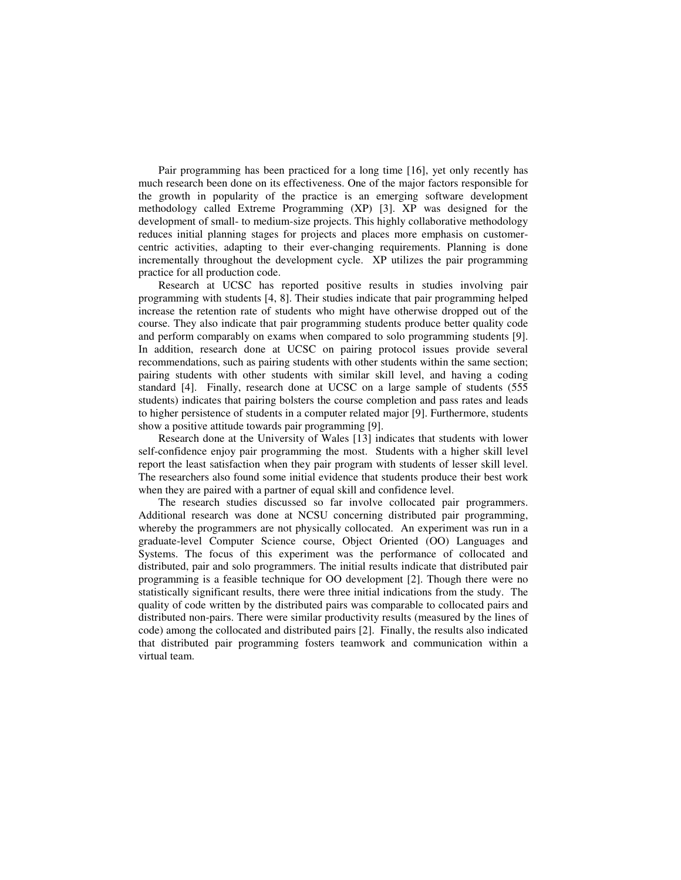Pair programming has been practiced for a long time [16], yet only recently has much research been done on its effectiveness. One of the major factors responsible for the growth in popularity of the practice is an emerging software development methodology called Extreme Programming (XP) [3]. XP was designed for the development of small- to medium-size projects. This highly collaborative methodology reduces initial planning stages for projects and places more emphasis on customercentric activities, adapting to their ever-changing requirements. Planning is done incrementally throughout the development cycle. XP utilizes the pair programming practice for all production code.

Research at UCSC has reported positive results in studies involving pair programming with students [4, 8]. Their studies indicate that pair programming helped increase the retention rate of students who might have otherwise dropped out of the course. They also indicate that pair programming students produce better quality code and perform comparably on exams when compared to solo programming students [9]. In addition, research done at UCSC on pairing protocol issues provide several recommendations, such as pairing students with other students within the same section; pairing students with other students with similar skill level, and having a coding standard [4]. Finally, research done at UCSC on a large sample of students (555 students) indicates that pairing bolsters the course completion and pass rates and leads to higher persistence of students in a computer related major [9]. Furthermore, students show a positive attitude towards pair programming [9].

Research done at the University of Wales [13] indicates that students with lower self-confidence enjoy pair programming the most. Students with a higher skill level report the least satisfaction when they pair program with students of lesser skill level. The researchers also found some initial evidence that students produce their best work when they are paired with a partner of equal skill and confidence level.

The research studies discussed so far involve collocated pair programmers. Additional research was done at NCSU concerning distributed pair programming, whereby the programmers are not physically collocated. An experiment was run in a graduate-level Computer Science course, Object Oriented (OO) Languages and Systems. The focus of this experiment was the performance of collocated and distributed, pair and solo programmers. The initial results indicate that distributed pair programming is a feasible technique for OO development [2]. Though there were no statistically significant results, there were three initial indications from the study. The quality of code written by the distributed pairs was comparable to collocated pairs and distributed non-pairs. There were similar productivity results (measured by the lines of code) among the collocated and distributed pairs [2]. Finally, the results also indicated that distributed pair programming fosters teamwork and communication within a virtual team.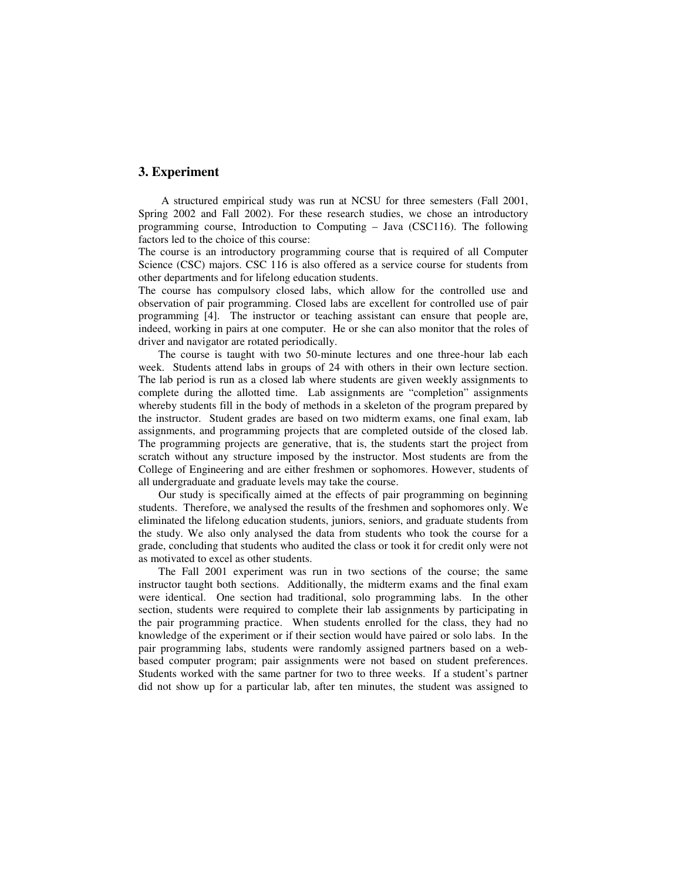# **3. Experiment**

A structured empirical study was run at NCSU for three semesters (Fall 2001, Spring 2002 and Fall 2002). For these research studies, we chose an introductory programming course, Introduction to Computing – Java (CSC116). The following factors led to the choice of this course:

The course is an introductory programming course that is required of all Computer Science (CSC) majors. CSC 116 is also offered as a service course for students from other departments and for lifelong education students.

The course has compulsory closed labs, which allow for the controlled use and observation of pair programming. Closed labs are excellent for controlled use of pair programming [4]. The instructor or teaching assistant can ensure that people are, indeed, working in pairs at one computer. He or she can also monitor that the roles of driver and navigator are rotated periodically.

The course is taught with two 50-minute lectures and one three-hour lab each week. Students attend labs in groups of 24 with others in their own lecture section. The lab period is run as a closed lab where students are given weekly assignments to complete during the allotted time. Lab assignments are "completion" assignments whereby students fill in the body of methods in a skeleton of the program prepared by the instructor. Student grades are based on two midterm exams, one final exam, lab assignments, and programming projects that are completed outside of the closed lab. The programming projects are generative, that is, the students start the project from scratch without any structure imposed by the instructor. Most students are from the College of Engineering and are either freshmen or sophomores. However, students of all undergraduate and graduate levels may take the course.

Our study is specifically aimed at the effects of pair programming on beginning students. Therefore, we analysed the results of the freshmen and sophomores only. We eliminated the lifelong education students, juniors, seniors, and graduate students from the study. We also only analysed the data from students who took the course for a grade, concluding that students who audited the class or took it for credit only were not as motivated to excel as other students.

The Fall 2001 experiment was run in two sections of the course; the same instructor taught both sections. Additionally, the midterm exams and the final exam were identical. One section had traditional, solo programming labs. In the other section, students were required to complete their lab assignments by participating in the pair programming practice. When students enrolled for the class, they had no knowledge of the experiment or if their section would have paired or solo labs. In the pair programming labs, students were randomly assigned partners based on a webbased computer program; pair assignments were not based on student preferences. Students worked with the same partner for two to three weeks. If a student's partner did not show up for a particular lab, after ten minutes, the student was assigned to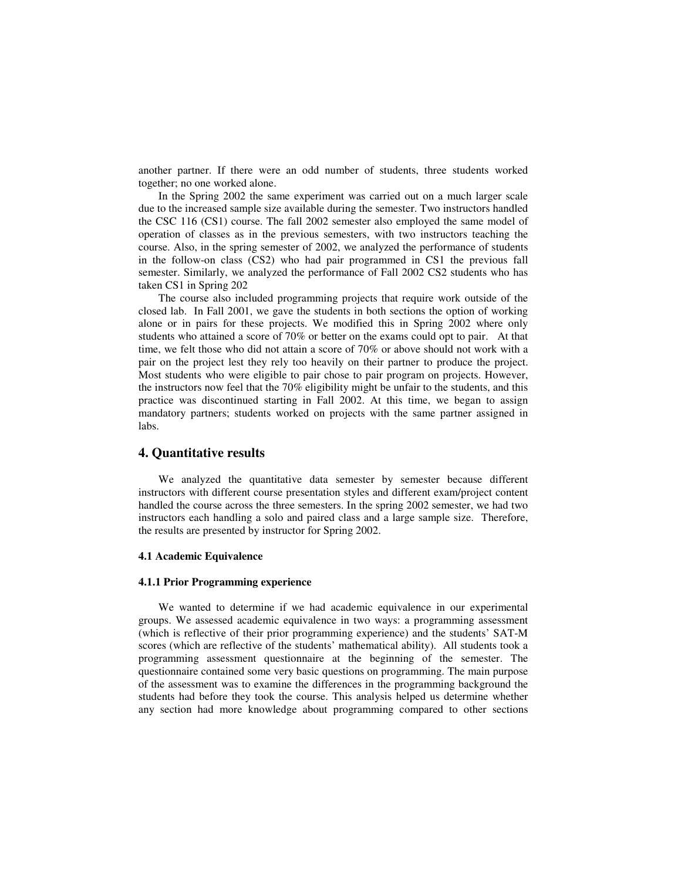another partner. If there were an odd number of students, three students worked together; no one worked alone.

In the Spring 2002 the same experiment was carried out on a much larger scale due to the increased sample size available during the semester. Two instructors handled the CSC 116 (CS1) course. The fall 2002 semester also employed the same model of operation of classes as in the previous semesters, with two instructors teaching the course. Also, in the spring semester of 2002, we analyzed the performance of students in the follow-on class (CS2) who had pair programmed in CS1 the previous fall semester. Similarly, we analyzed the performance of Fall 2002 CS2 students who has taken CS1 in Spring 202

The course also included programming projects that require work outside of the closed lab. In Fall 2001, we gave the students in both sections the option of working alone or in pairs for these projects. We modified this in Spring 2002 where only students who attained a score of 70% or better on the exams could opt to pair. At that time, we felt those who did not attain a score of 70% or above should not work with a pair on the project lest they rely too heavily on their partner to produce the project. Most students who were eligible to pair chose to pair program on projects. However, the instructors now feel that the 70% eligibility might be unfair to the students, and this practice was discontinued starting in Fall 2002. At this time, we began to assign mandatory partners; students worked on projects with the same partner assigned in labs.

### **4. Quantitative results**

We analyzed the quantitative data semester by semester because different instructors with different course presentation styles and different exam/project content handled the course across the three semesters. In the spring 2002 semester, we had two instructors each handling a solo and paired class and a large sample size. Therefore, the results are presented by instructor for Spring 2002.

#### **4.1 Academic Equivalence**

#### **4.1.1 Prior Programming experience**

We wanted to determine if we had academic equivalence in our experimental groups. We assessed academic equivalence in two ways: a programming assessment (which is reflective of their prior programming experience) and the students' SAT-M scores (which are reflective of the students' mathematical ability). All students took a programming assessment questionnaire at the beginning of the semester. The questionnaire contained some very basic questions on programming. The main purpose of the assessment was to examine the differences in the programming background the students had before they took the course. This analysis helped us determine whether any section had more knowledge about programming compared to other sections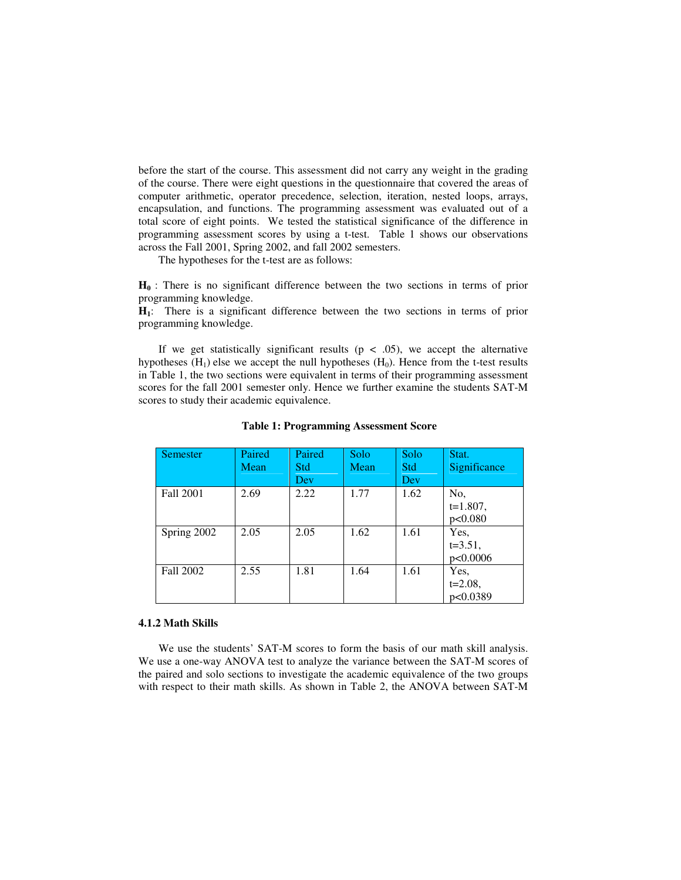before the start of the course. This assessment did not carry any weight in the grading of the course. There were eight questions in the questionnaire that covered the areas of computer arithmetic, operator precedence, selection, iteration, nested loops, arrays, encapsulation, and functions. The programming assessment was evaluated out of a total score of eight points. We tested the statistical significance of the difference in programming assessment scores by using a t-test. Table 1 shows our observations across the Fall 2001, Spring 2002, and fall 2002 semesters.

The hypotheses for the t-test are as follows:

**H<sup>0</sup>** : There is no significant difference between the two sections in terms of prior programming knowledge.

**H1**: There is a significant difference between the two sections in terms of prior programming knowledge.

If we get statistically significant results ( $p < .05$ ), we accept the alternative hypotheses  $(H_1)$  else we accept the null hypotheses  $(H_0)$ . Hence from the t-test results in Table 1, the two sections were equivalent in terms of their programming assessment scores for the fall 2001 semester only. Hence we further examine the students SAT-M scores to study their academic equivalence.

| Semester         | Paired | Paired | Solo | Solo       | Stat.        |
|------------------|--------|--------|------|------------|--------------|
|                  | Mean   | Std    | Mean | <b>Std</b> | Significance |
|                  |        | Dev    |      | Dev        |              |
| <b>Fall 2001</b> | 2.69   | 2.22   | 1.77 | 1.62       | No,          |
|                  |        |        |      |            | $t=1.807$ ,  |
|                  |        |        |      |            | p<0.080      |
| Spring 2002      | 2.05   | 2.05   | 1.62 | 1.61       | Yes.         |
|                  |        |        |      |            | $t = 3.51$ , |
|                  |        |        |      |            | p<0.0006     |
| Fall 2002        | 2.55   | 1.81   | 1.64 | 1.61       | Yes,         |
|                  |        |        |      |            | $t = 2.08$ , |
|                  |        |        |      |            | p<0.0389     |

**Table 1: Programming Assessment Score**

#### **4.1.2 Math Skills**

We use the students' SAT-M scores to form the basis of our math skill analysis. We use a one-way ANOVA test to analyze the variance between the SAT-M scores of the paired and solo sections to investigate the academic equivalence of the two groups with respect to their math skills. As shown in Table 2, the ANOVA between SAT-M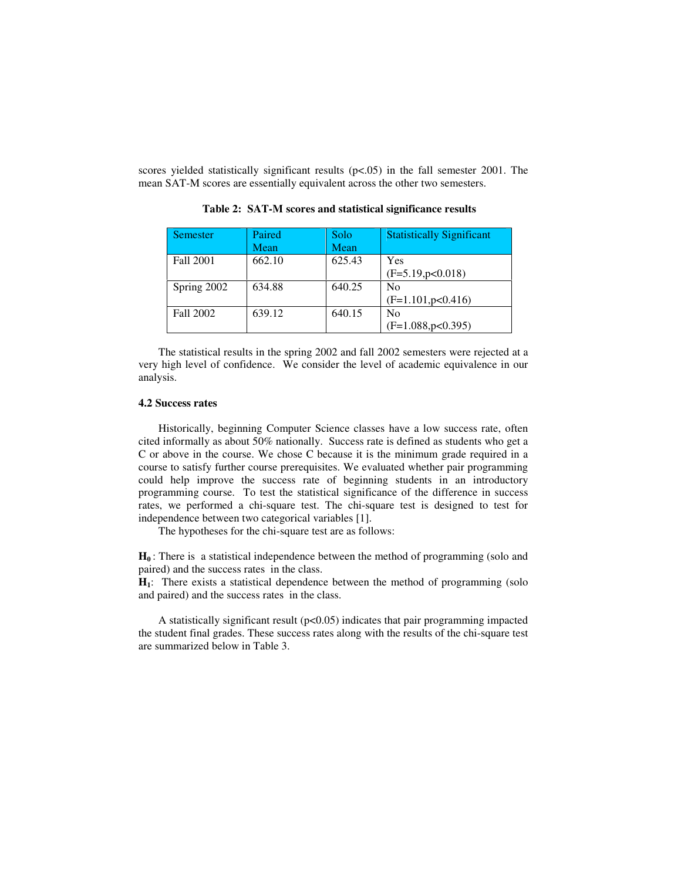scores yielded statistically significant results  $(p<.05)$  in the fall semester 2001. The mean SAT-M scores are essentially equivalent across the other two semesters.

| Semester    | Paired<br>Mean | Solo<br>Mean | <b>Statistically Significant</b>       |
|-------------|----------------|--------------|----------------------------------------|
| Fall 2001   | 662.10         | 625.43       | Yes<br>$(F=5.19, p<0.018)$             |
| Spring 2002 | 634.88         | 640.25       | N <sub>0</sub><br>$(F=1.101, p<0.416)$ |
| Fall 2002   | 639.12         | 640.15       | N <sub>0</sub><br>$(F=1.088, p<0.395)$ |

**Table 2: SAT-M scores and statistical significance results**

The statistical results in the spring 2002 and fall 2002 semesters were rejected at a very high level of confidence. We consider the level of academic equivalence in our analysis.

## **4.2 Success rates**

Historically, beginning Computer Science classes have a low success rate, often cited informally as about 50% nationally. Success rate is defined as students who get a C or above in the course. We chose C because it is the minimum grade required in a course to satisfy further course prerequisites. We evaluated whether pair programming could help improve the success rate of beginning students in an introductory programming course. To test the statistical significance of the difference in success rates, we performed a chi-square test. The chi-square test is designed to test for independence between two categorical variables [1].

The hypotheses for the chi-square test are as follows:

**H<sup>0</sup>** : There is a statistical independence between the method of programming (solo and paired) and the success rates in the class.

**H1**: There exists a statistical dependence between the method of programming (solo and paired) and the success rates in the class.

A statistically significant result  $(p<0.05)$  indicates that pair programming impacted the student final grades. These success rates along with the results of the chi-square test are summarized below in Table 3.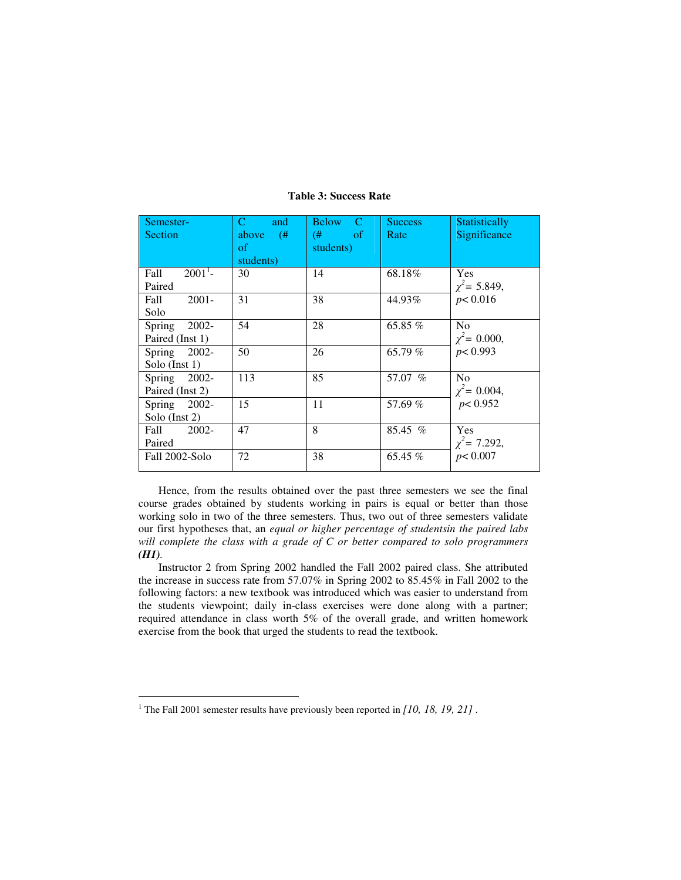| Semester-<br>Section            | C<br>and<br>above $(# )$<br>of<br>students) | - C<br><b>Below</b><br>$(\# \qquad \text{of}$<br>students) | <b>Success</b><br>Rate | Statistically<br>Significance       |
|---------------------------------|---------------------------------------------|------------------------------------------------------------|------------------------|-------------------------------------|
| $2001^{1}$<br>Fall<br>Paired    | 30                                          | 14                                                         | 68.18%                 | <b>Yes</b><br>$\chi^2$ = 5.849,     |
| Fall<br>$2001 -$<br>Solo        | 31                                          | 38                                                         | 44.93%                 | p < 0.016                           |
| Spring 2002-<br>Paired (Inst 1) | 54                                          | 28                                                         | 65.85 %                | N <sub>0</sub><br>$\chi^2$ = 0.000, |
| Spring 2002-<br>Solo (Inst 1)   | 50                                          | 26                                                         | 65.79%                 | p < 0.993                           |
| Spring 2002-<br>Paired (Inst 2) | 113                                         | 85                                                         | 57.07 %                | N <sub>0</sub><br>$\chi^2$ = 0.004, |
| Spring 2002-<br>Solo (Inst 2)   | 15                                          | 11                                                         | 57.69%                 | p < 0.952                           |
| $2002 -$<br>Fall<br>Paired      | 47                                          | 8                                                          | 85.45%                 | Yes<br>$\chi^2$ = 7.292,            |
| Fall 2002-Solo                  | 72                                          | 38                                                         | 65.45 $%$              | p < 0.007                           |

#### **Table 3: Success Rate**

Hence, from the results obtained over the past three semesters we see the final course grades obtained by students working in pairs is equal or better than those working solo in two of the three semesters. Thus, two out of three semesters validate our first hypotheses that, an *equal or higher percentage of studentsin the paired labs will complete the class with a grade of C or better compared to solo programmers (H1).*

Instructor 2 from Spring 2002 handled the Fall 2002 paired class. She attributed the increase in success rate from 57.07% in Spring 2002 to 85.45% in Fall 2002 to the following factors: a new textbook was introduced which was easier to understand from the students viewpoint; daily in-class exercises were done along with a partner; required attendance in class worth 5% of the overall grade, and written homework exercise from the book that urged the students to read the textbook.

<sup>1</sup> The Fall 2001 semester results have previously been reported in *[10, 18, 19, 21]* .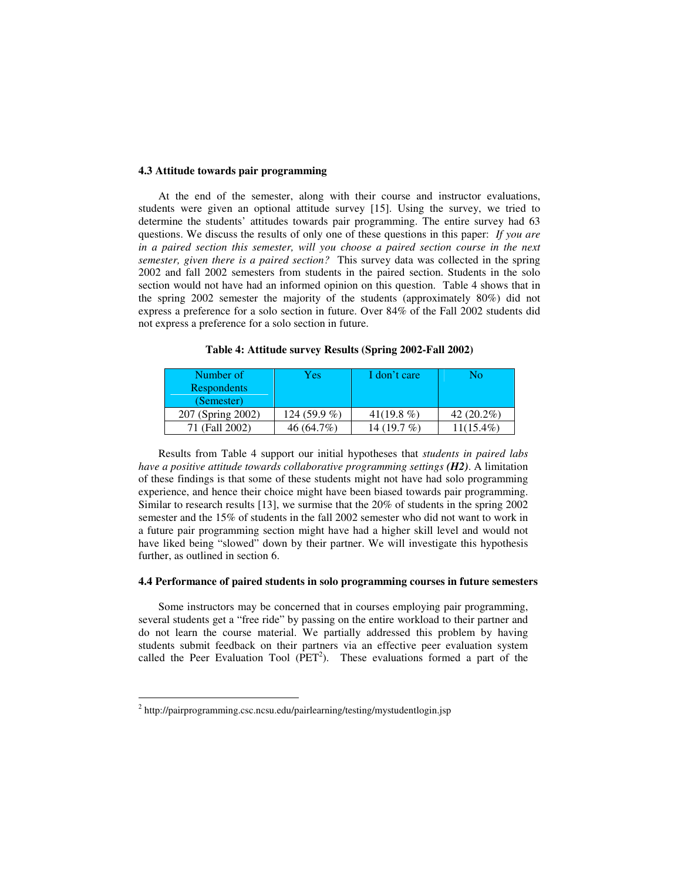# **4.3 Attitude towards pair programming**

At the end of the semester, along with their course and instructor evaluations, students were given an optional attitude survey [15]. Using the survey, we tried to determine the students' attitudes towards pair programming. The entire survey had 63 questions. We discuss the results of only one of these questions in this paper: *If you are in a paired section this semester, will you choose a paired section course in the next semester, given there is a paired section?* This survey data was collected in the spring 2002 and fall 2002 semesters from students in the paired section. Students in the solo section would not have had an informed opinion on this question. Table 4 shows that in the spring 2002 semester the majority of the students (approximately 80%) did not express a preference for a solo section in future. Over 84% of the Fall 2002 students did not express a preference for a solo section in future.

| Number of         | Yes          | I don't care   | N٥           |
|-------------------|--------------|----------------|--------------|
| Respondents       |              |                |              |
| (Semester)        |              |                |              |
| 207 (Spring 2002) | 124 (59.9 %) | $41(19.8\%)$   | $42(20.2\%)$ |
| 71 (Fall 2002)    | 46 (64.7%)   | 14 (19.7 $%$ ) | $11(15.4\%)$ |

**Table 4: Attitude survey Results (Spring 2002-Fall 2002)**

Results from Table 4 support our initial hypotheses that *students in paired labs have a positive attitude towards collaborative programming settings (H2)*. A limitation of these findings is that some of these students might not have had solo programming experience, and hence their choice might have been biased towards pair programming. Similar to research results [13], we surmise that the 20% of students in the spring 2002 semester and the 15% of students in the fall 2002 semester who did not want to work in a future pair programming section might have had a higher skill level and would not have liked being "slowed" down by their partner. We will investigate this hypothesis further, as outlined in section 6.

## **4.4 Performance of paired students in solo programming courses in future semesters**

Some instructors may be concerned that in courses employing pair programming, several students get a "free ride" by passing on the entire workload to their partner and do not learn the course material. We partially addressed this problem by having students submit feedback on their partners via an effective peer evaluation system called the Peer Evaluation Tool  $(PET^2)$ . These evaluations formed a part of the

<sup>&</sup>lt;sup>2</sup> http://pairprogramming.csc.ncsu.edu/pairlearning/testing/mystudentlogin.jsp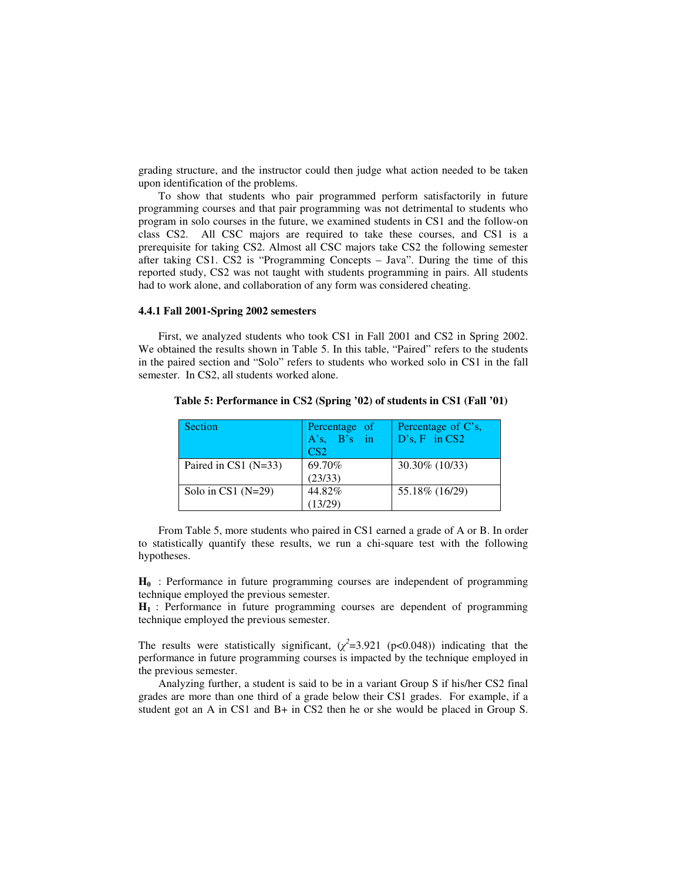grading structure, and the instructor could then judge what action needed to be taken upon identification of the problems.

To show that students who pair programmed perform satisfactorily in future programming courses and that pair programming was not detrimental to students who program in solo courses in the future, we examined students in CS1 and the follow-on class CS2. All CSC majors are required to take these courses, and CS1 is a prerequisite for taking CS2. Almost all CSC majors take CS2 the following semester after taking CS1. CS2 is "Programming Concepts – Java". During the time of this reported study, CS2 was not taught with students programming in pairs. All students had to work alone, and collaboration of any form was considered cheating.

## **4.4.1 Fall 2001-Spring 2002 semesters**

First, we analyzed students who took CS1 in Fall 2001 and CS2 in Spring 2002. We obtained the results shown in Table 5. In this table, "Paired" refers to the students in the paired section and "Solo" refers to students who worked solo in CS1 in the fall semester. In CS2, all students worked alone.

| <b>Section</b>         | Percentage of<br>A's, B's in<br>CS2 | Percentage of C's,<br>$D's, F$ in CS2 |
|------------------------|-------------------------------------|---------------------------------------|
| Paired in CS1 $(N=33)$ | 69.70%<br>(23/33)                   | 30.30\% (10/33)                       |
| Solo in CS1 $(N=29)$   | 44.82%<br>(13/29)                   | 55.18% (16/29)                        |

**Table 5: Performance in CS2 (Spring '02) of students in CS1 (Fall '01)**

From Table 5, more students who paired in CS1 earned a grade of A or B. In order to statistically quantify these results, we run a chi-square test with the following hypotheses.

**H<sup>0</sup>** : Performance in future programming courses are independent of programming technique employed the previous semester.

**H<sup>1</sup>** : Performance in future programming courses are dependent of programming technique employed the previous semester.

The results were statistically significant,  $(\chi^2=3.921 \text{ (p}<0.048))$  indicating that the performance in future programming courses is impacted by the technique employed in the previous semester.

Analyzing further, a student is said to be in a variant Group S if his/her CS2 final grades are more than one third of a grade below their CS1 grades. For example, if a student got an A in CS1 and B+ in CS2 then he or she would be placed in Group S.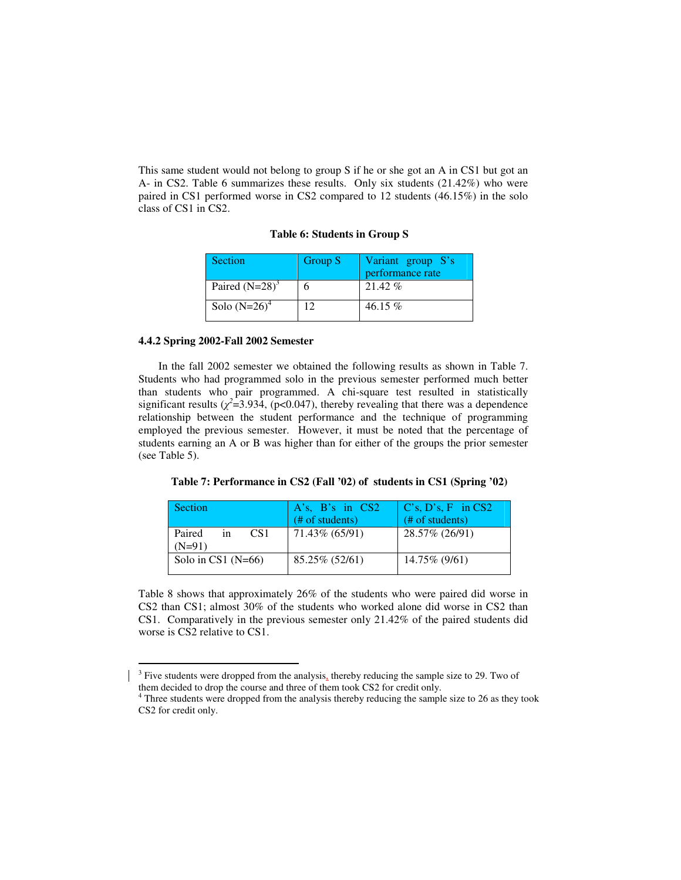This same student would not belong to group S if he or she got an A in CS1 but got an A- in CS2. Table 6 summarizes these results. Only six students (21.42%) who were paired in CS1 performed worse in CS2 compared to 12 students (46.15%) in the solo class of CS1 in CS2.

| Section           | Group S | Variant group S's<br>performance rate |
|-------------------|---------|---------------------------------------|
| Paired $(N=28)^3$ | h       | $21.42\%$                             |
| Solo $(N=26)^4$   | 12      | 46.15 $%$                             |

**Table 6: Students in Group S**

#### **4.4.2 Spring 2002-Fall 2002 Semester**

In the fall 2002 semester we obtained the following results as shown in Table 7. Students who had programmed solo in the previous semester performed much better than students who pair programmed. A chi-square test resulted in statistically significant results  $(\chi^2=3.934, (p<0.047))$ , thereby revealing that there was a dependence relationship between the student performance and the technique of programming employed the previous semester. However, it must be noted that the percentage of students earning an A or B was higher than for either of the groups the prior semester (see Table 5).

**Table 7: Performance in CS2 (Fall '02) of students in CS1 (Spring '02)**

| Section                                                | $A's$ , $B's$ in $CS2$<br>$(f#$ of students) | $C's, D's, F$ in CS2<br>(# of students) |
|--------------------------------------------------------|----------------------------------------------|-----------------------------------------|
| Paired<br>CS <sub>1</sub><br><sub>in</sub><br>$(N=91)$ | 71.43% (65/91)                               | 28.57% (26/91)                          |
| Solo in CS1 $(N=66)$                                   | 85.25% (52/61)                               | 14.75% (9/61)                           |

Table 8 shows that approximately 26% of the students who were paired did worse in CS2 than CS1; almost 30% of the students who worked alone did worse in CS2 than CS1. Comparatively in the previous semester only 21.42% of the paired students did worse is CS2 relative to CS1.

<sup>&</sup>lt;sup>3</sup> Five students were dropped from the analysis, thereby reducing the sample size to 29. Two of them decided to drop the course and three of them took CS2 for credit only.

Three students were dropped from the analysis thereby reducing the sample size to 26 as they took CS2 for credit only.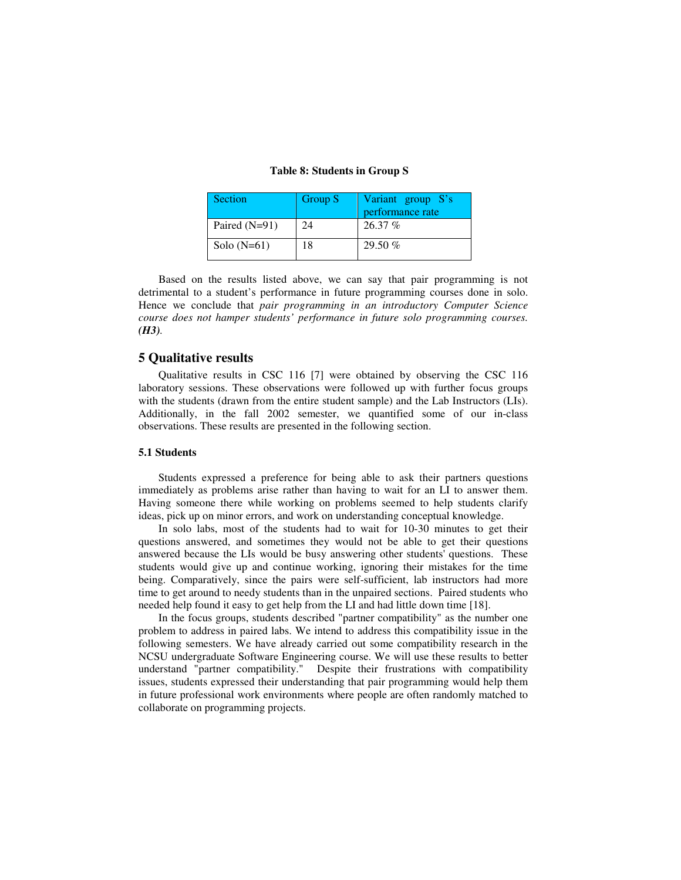| Section         | Group S | Variant group S's<br>performance rate |
|-----------------|---------|---------------------------------------|
| Paired $(N=91)$ | 24      | $26.37\%$                             |
| Solo $(N=61)$   | 18      | $29.50\%$                             |

#### **Table 8: Students in Group S**

Based on the results listed above, we can say that pair programming is not detrimental to a student's performance in future programming courses done in solo. Hence we conclude that *pair programming in an introductory Computer Science course does not hamper students' performance in future solo programming courses. (H3).*

## **5 Qualitative results**

Qualitative results in CSC 116 [7] were obtained by observing the CSC 116 laboratory sessions. These observations were followed up with further focus groups with the students (drawn from the entire student sample) and the Lab Instructors (LIs). Additionally, in the fall 2002 semester, we quantified some of our in-class observations. These results are presented in the following section.

## **5.1 Students**

Students expressed a preference for being able to ask their partners questions immediately as problems arise rather than having to wait for an LI to answer them. Having someone there while working on problems seemed to help students clarify ideas, pick up on minor errors, and work on understanding conceptual knowledge.

In solo labs, most of the students had to wait for 10-30 minutes to get their questions answered, and sometimes they would not be able to get their questions answered because the LIs would be busy answering other students'questions. These students would give up and continue working, ignoring their mistakes for the time being. Comparatively, since the pairs were self-sufficient, lab instructors had more time to get around to needy students than in the unpaired sections. Paired students who needed help found it easy to get help from the LI and had little down time [18].

In the focus groups, students described "partner compatibility" as the number one problem to address in paired labs. We intend to address this compatibility issue in the following semesters. We have already carried out some compatibility research in the NCSU undergraduate Software Engineering course. We will use these results to better understand "partner compatibility." Despite their frustrations with compatibility issues, students expressed their understanding that pair programming would help them in future professional work environments where people are often randomly matched to collaborate on programming projects.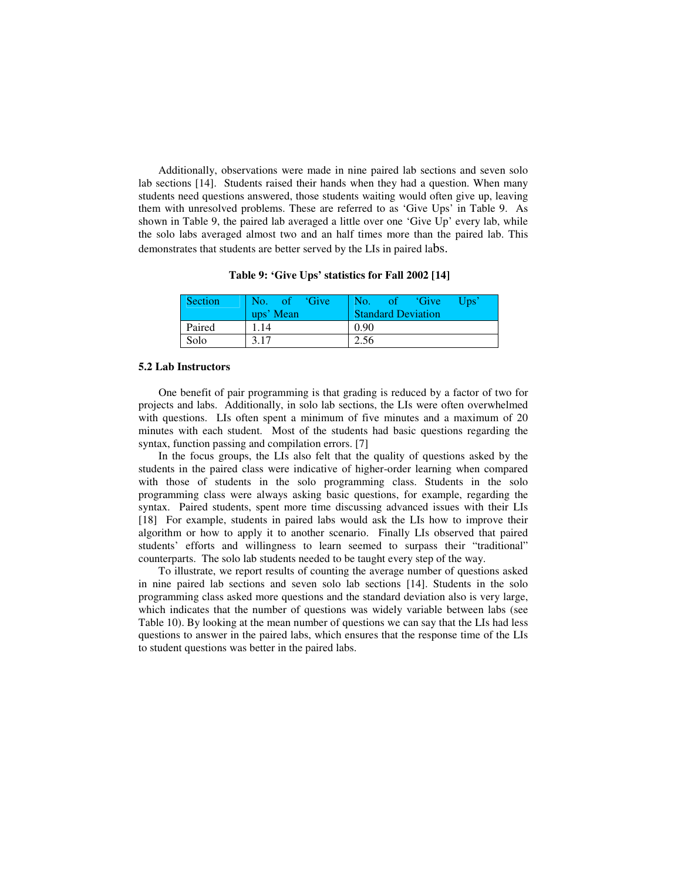Additionally, observations were made in nine paired lab sections and seven solo lab sections [14]. Students raised their hands when they had a question. When many students need questions answered, those students waiting would often give up, leaving them with unresolved problems. These are referred to as 'Give Ups' in Table 9. As shown in Table 9, the paired lab averaged a little over one 'Give Up' every lab, while the solo labs averaged almost two and an half times more than the paired lab. This demonstrates that students are better served by the LIs in paired labs.

**Table 9: 'Give Ups' statistics for Fall 2002 [14]**

| Section | No.<br>of 'Give | No.<br><sup>'</sup> Give<br>$\sqrt{cos^2}$<br>$\bullet$ of $\blacktriangledown$ |
|---------|-----------------|---------------------------------------------------------------------------------|
|         | ups' Mean       | <b>Standard Deviation</b>                                                       |
| Paired  | 1.14            | 0.90                                                                            |
| Solo    | 3.17            | 2.56                                                                            |

#### **5.2 Lab Instructors**

One benefit of pair programming is that grading is reduced by a factor of two for projects and labs. Additionally, in solo lab sections, the LIs were often overwhelmed with questions. LIs often spent a minimum of five minutes and a maximum of 20 minutes with each student. Most of the students had basic questions regarding the syntax, function passing and compilation errors. [7]

In the focus groups, the LIs also felt that the quality of questions asked by the students in the paired class were indicative of higher-order learning when compared with those of students in the solo programming class. Students in the solo programming class were always asking basic questions, for example, regarding the syntax. Paired students, spent more time discussing advanced issues with their LIs [18] For example, students in paired labs would ask the LIs how to improve their algorithm or how to apply it to another scenario. Finally LIs observed that paired students' efforts and willingness to learn seemed to surpass their "traditional" counterparts. The solo lab students needed to be taught every step of the way.

To illustrate, we report results of counting the average number of questions asked in nine paired lab sections and seven solo lab sections [14]. Students in the solo programming class asked more questions and the standard deviation also is very large, which indicates that the number of questions was widely variable between labs (see Table 10). By looking at the mean number of questions we can say that the LIs had less questions to answer in the paired labs, which ensures that the response time of the LIs to student questions was better in the paired labs.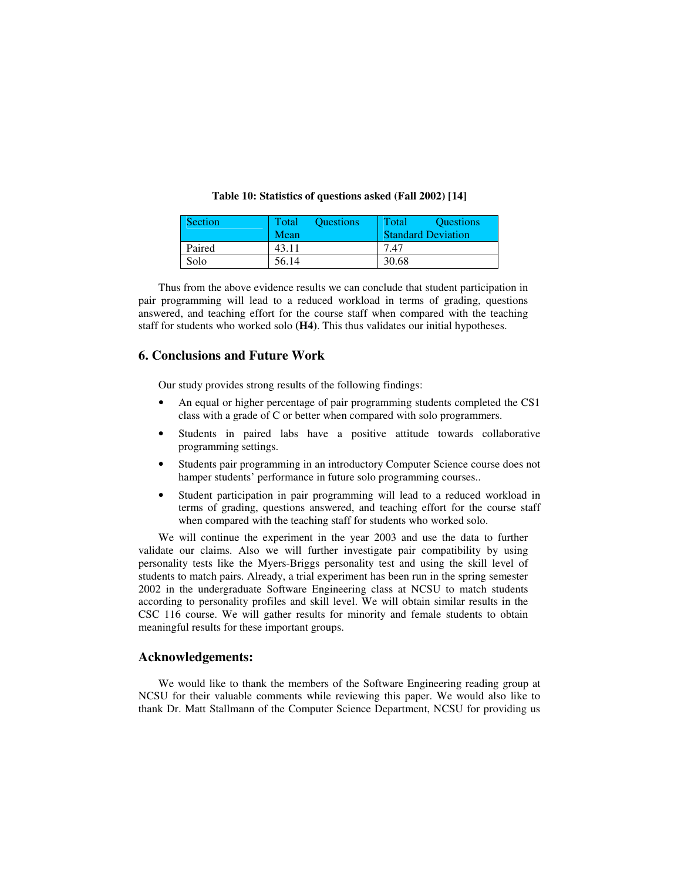| Section | Total<br>Mean | <b>Ouestions</b> | Total | <b>Ouestions</b><br><b>Standard Deviation</b> |
|---------|---------------|------------------|-------|-----------------------------------------------|
| Paired  | 43.11         |                  | 7.47  |                                               |
| Solo    | 56.14         |                  | 30.68 |                                               |

**Table 10: Statistics of questions asked (Fall 2002) [14]**

Thus from the above evidence results we can conclude that student participation in pair programming will lead to a reduced workload in terms of grading, questions answered, and teaching effort for the course staff when compared with the teaching staff for students who worked solo **(H4)**. This thus validates our initial hypotheses.

## **6. Conclusions and Future Work**

Our study provides strong results of the following findings:

- An equal or higher percentage of pair programming students completed the CS1 class with a grade of C or better when compared with solo programmers.
- Students in paired labs have a positive attitude towards collaborative programming settings.
- Students pair programming in an introductory Computer Science course does not hamper students' performance in future solo programming courses..
- Student participation in pair programming will lead to a reduced workload in terms of grading, questions answered, and teaching effort for the course staff when compared with the teaching staff for students who worked solo.

We will continue the experiment in the year 2003 and use the data to further validate our claims. Also we will further investigate pair compatibility by using personality tests like the Myers-Briggs personality test and using the skill level of students to match pairs. Already, a trial experiment has been run in the spring semester 2002 in the undergraduate Software Engineering class at NCSU to match students according to personality profiles and skill level. We will obtain similar results in the CSC 116 course. We will gather results for minority and female students to obtain meaningful results for these important groups.

## **Acknowledgements:**

We would like to thank the members of the Software Engineering reading group at NCSU for their valuable comments while reviewing this paper. We would also like to thank Dr. Matt Stallmann of the Computer Science Department, NCSU for providing us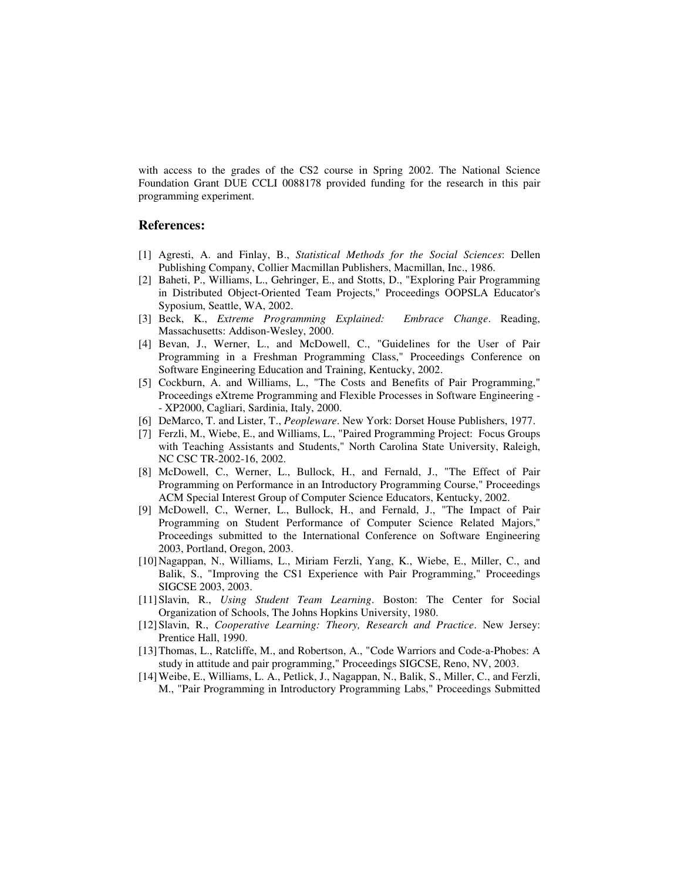with access to the grades of the CS2 course in Spring 2002. The National Science Foundation Grant DUE CCLI 0088178 provided funding for the research in this pair programming experiment.

# **References:**

- [1] Agresti, A. and Finlay, B., *Statistical Methods for the Social Sciences*: Dellen Publishing Company, Collier Macmillan Publishers, Macmillan, Inc., 1986.
- [2] Baheti, P., Williams, L., Gehringer, E., and Stotts, D., "Exploring Pair Programming in Distributed Object-Oriented Team Projects," Proceedings OOPSLA Educator's Syposium, Seattle, WA, 2002.
- [3] Beck, K., *Extreme Programming Explained: Embrace Change*. Reading, Massachusetts: Addison-Wesley, 2000.
- [4] Bevan, J., Werner, L., and McDowell, C., "Guidelines for the User of Pair Programming in a Freshman Programming Class," Proceedings Conference on Software Engineering Education and Training, Kentucky, 2002.
- [5] Cockburn, A. and Williams, L., "The Costs and Benefits of Pair Programming," Proceedings eXtreme Programming and Flexible Processes in Software Engineering - - XP2000, Cagliari, Sardinia, Italy, 2000.
- [6] DeMarco, T. and Lister, T., *Peopleware*. New York: Dorset House Publishers, 1977.
- [7] Ferzli, M., Wiebe, E., and Williams, L., "Paired Programming Project: Focus Groups with Teaching Assistants and Students," North Carolina State University, Raleigh, NC CSC TR-2002-16, 2002.
- [8] McDowell, C., Werner, L., Bullock, H., and Fernald, J., "The Effect of Pair Programming on Performance in an Introductory Programming Course," Proceedings ACM Special Interest Group of Computer Science Educators, Kentucky, 2002.
- [9] McDowell, C., Werner, L., Bullock, H., and Fernald, J., "The Impact of Pair Programming on Student Performance of Computer Science Related Majors," Proceedings submitted to the International Conference on Software Engineering 2003, Portland, Oregon, 2003.
- [10]Nagappan, N., Williams, L., Miriam Ferzli, Yang, K., Wiebe, E., Miller, C., and Balik, S., "Improving the CS1 Experience with Pair Programming," Proceedings SIGCSE 2003, 2003.
- [11]Slavin, R., *Using Student Team Learning*. Boston: The Center for Social Organization of Schools, The Johns Hopkins University, 1980.
- [12]Slavin, R., *Cooperative Learning: Theory, Research and Practice*. New Jersey: Prentice Hall, 1990.
- [13]Thomas, L., Ratcliffe, M., and Robertson, A., "Code Warriors and Code-a-Phobes: A study in attitude and pair programming," Proceedings SIGCSE, Reno, NV, 2003.
- [14]Weibe, E., Williams, L. A., Petlick, J., Nagappan, N., Balik, S., Miller, C., and Ferzli, M., "Pair Programming in Introductory Programming Labs," Proceedings Submitted